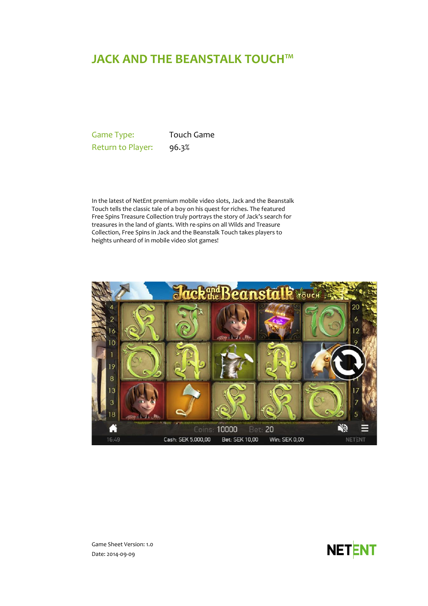# **JACK AND THE BEANSTALK TOUCH™**

Game Type: Touch Game Return to Player: 96.3%

In the latest of NetEnt premium mobile video slots, Jack and the Beanstalk Touch tells the classic tale of a boy on his quest for riches. The featured Free Spins Treasure Collection truly portrays the story of Jack's search for treasures in the land of giants. With re-spins on all Wilds and Treasure Collection, Free Spins in Jack and the Beanstalk Touch takes players to heights unheard of in mobile video slot games!



**NETENT** 

Game Sheet Version: 1.0 Date: 2014-09-09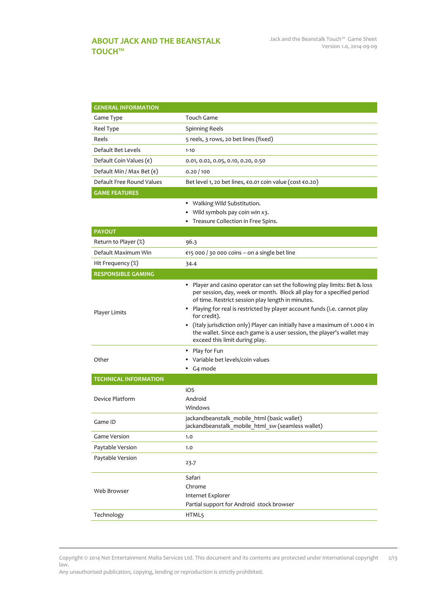<span id="page-1-0"></span>

| <b>GENERAL INFORMATION</b>         |                                                                                                                                                                                                                                                                                                                                                                                                                                                                                                               |
|------------------------------------|---------------------------------------------------------------------------------------------------------------------------------------------------------------------------------------------------------------------------------------------------------------------------------------------------------------------------------------------------------------------------------------------------------------------------------------------------------------------------------------------------------------|
| Game Type                          | Touch Game                                                                                                                                                                                                                                                                                                                                                                                                                                                                                                    |
| Reel Type                          | <b>Spinning Reels</b>                                                                                                                                                                                                                                                                                                                                                                                                                                                                                         |
| Reels                              | 5 reels, 3 rows, 20 bet lines (fixed)                                                                                                                                                                                                                                                                                                                                                                                                                                                                         |
| Default Bet Levels                 | $1 - 10$                                                                                                                                                                                                                                                                                                                                                                                                                                                                                                      |
| Default Coin Values $(\epsilon)$   | 0.01, 0.02, 0.05, 0.10, 0.20, 0.50                                                                                                                                                                                                                                                                                                                                                                                                                                                                            |
| Default Min / Max Bet $(\epsilon)$ | 0.20/100                                                                                                                                                                                                                                                                                                                                                                                                                                                                                                      |
| Default Free Round Values          | Bet level 1, 20 bet lines, €0.01 coin value (cost €0.20)                                                                                                                                                                                                                                                                                                                                                                                                                                                      |
| <b>GAME FEATURES</b>               |                                                                                                                                                                                                                                                                                                                                                                                                                                                                                                               |
|                                    | • Walking Wild Substitution.                                                                                                                                                                                                                                                                                                                                                                                                                                                                                  |
|                                    | • Wild symbols pay coin win x3.                                                                                                                                                                                                                                                                                                                                                                                                                                                                               |
|                                    | • Treasure Collection in Free Spins.                                                                                                                                                                                                                                                                                                                                                                                                                                                                          |
| <b>PAYOUT</b>                      |                                                                                                                                                                                                                                                                                                                                                                                                                                                                                                               |
| Return to Player (%)               | 96.3                                                                                                                                                                                                                                                                                                                                                                                                                                                                                                          |
| Default Maximum Win                | €15 000 / 30 000 coins - on a single bet line                                                                                                                                                                                                                                                                                                                                                                                                                                                                 |
| Hit Frequency (%)                  | 34.4                                                                                                                                                                                                                                                                                                                                                                                                                                                                                                          |
| <b>RESPONSIBLE GAMING</b>          |                                                                                                                                                                                                                                                                                                                                                                                                                                                                                                               |
| Player Limits                      | • Player and casino operator can set the following play limits: Bet & loss<br>per session, day, week or month. Block all play for a specified period<br>of time. Restrict session play length in minutes.<br>• Playing for real is restricted by player account funds (i.e. cannot play<br>for credit).<br>• (Italy jurisdiction only) Player can initially have a maximum of 1.000 $\epsilon$ in<br>the wallet. Since each game is a user session, the player's wallet may<br>exceed this limit during play. |
| Other                              | • Play for Fun<br>• Variable bet levels/coin values<br>• G4 mode                                                                                                                                                                                                                                                                                                                                                                                                                                              |
| <b>TECHNICAL INFORMATION</b>       |                                                                                                                                                                                                                                                                                                                                                                                                                                                                                                               |
| Device Platform                    | iOS<br>Android<br>Windows                                                                                                                                                                                                                                                                                                                                                                                                                                                                                     |
| Game ID                            | jackandbeanstalk mobile html (basic wallet)<br>jackandbeanstalk mobile html sw (seamless wallet)                                                                                                                                                                                                                                                                                                                                                                                                              |
| Game Version                       | 1.0                                                                                                                                                                                                                                                                                                                                                                                                                                                                                                           |
| Paytable Version                   | 1.0                                                                                                                                                                                                                                                                                                                                                                                                                                                                                                           |
| Paytable Version                   | 23.7                                                                                                                                                                                                                                                                                                                                                                                                                                                                                                          |
| Web Browser                        | Safari<br>Chrome<br>Internet Explorer<br>Partial support for Android stock browser                                                                                                                                                                                                                                                                                                                                                                                                                            |
| Technology                         | HTML5                                                                                                                                                                                                                                                                                                                                                                                                                                                                                                         |

Copyright © 2014 Net Entertainment Malta Services Ltd. This document and its contents are protected under International copyright law. 2/13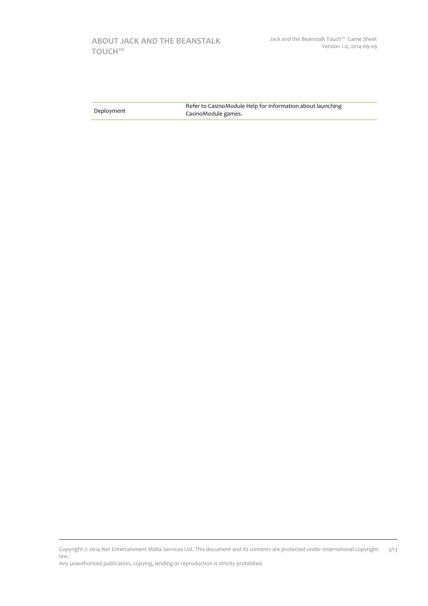# **[ABOUT JACK AND THE BEANSTALK](#page-1-0)  [TOUCH™](#page-1-0)**

|            | Refer to CasinoModule Help for information about launching |
|------------|------------------------------------------------------------|
| Deployment | CasinoModule games.                                        |

Copyright © 2014 Net Entertainment Malta Services Ltd. This document and its contents are protected under International copyright law. 3/13

Any unauthorised publication, copying, lending or reproduction is strictly prohibited.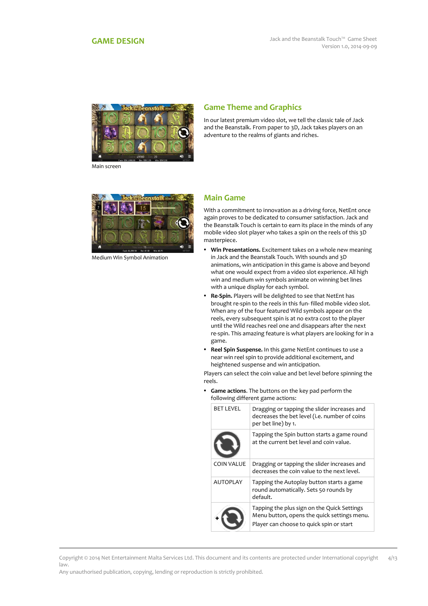<span id="page-3-0"></span>

#### Main screen

# **Game Theme and Graphics**

In our latest premium video slot, we tell the classic tale of Jack and the Beanstalk. From paper to 3D, Jack takes players on an adventure to the realms of giants and riches.



Medium Win Symbol Animation

#### **Main Game**

With a commitment to innovation as a driving force, NetEnt once again proves to be dedicated to consumer satisfaction. Jack and the Beanstalk Touch is certain to earn its place in the minds of any mobile video slot player who takes a spin on the reels of this 3D masterpiece.

- **Win Presentations.** Excitement takes on a whole new meaning in Jack and the Beanstalk Touch. With sounds and 3D animations, win anticipation in this game is above and beyond what one would expect from a video slot experience. All high win and medium win symbols animate on winning bet lines with a unique display for each symbol.
- **Re-Spin.** Players will be delighted to see that NetEnt has brought re-spin to the reels in this fun- filled mobile video slot. When any of the four featured Wild symbols appear on the reels, every subsequent spin is at no extra cost to the player until the Wild reaches reel one and disappears after the next re-spin. This amazing feature is what players are looking for in a game.
- **Reel Spin Suspense.** In this game NetEnt continues to use a near win reel spin to provide additional excitement, and heightened suspense and win anticipation.

Players can select the coin value and bet level before spinning the reels.

 **Game actions**. The buttons on the key pad perform the following different game actions:

|  | <b>BET LEVEL</b> | Dragging or tapping the slider increases and<br>decreases the bet level (i.e. number of coins<br>per bet line) by 1.                   |
|--|------------------|----------------------------------------------------------------------------------------------------------------------------------------|
|  |                  | Tapping the Spin button starts a game round<br>at the current bet level and coin value.                                                |
|  | COIN VALUE       | Dragging or tapping the slider increases and<br>decreases the coin value to the next level.                                            |
|  | <b>AUTOPLAY</b>  | Tapping the Autoplay button starts a game<br>round automatically. Sets 50 rounds by<br>default.                                        |
|  |                  | Tapping the plus sign on the Quick Settings<br>Menu button, opens the quick settings menu.<br>Player can choose to quick spin or start |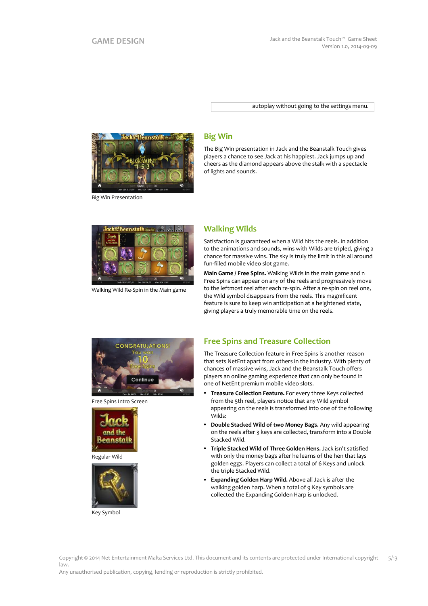autoplay without going to the settings menu.



Big Win Presentation

#### **Big Win**

The Big Win presentation in Jack and the Beanstalk Touch gives players a chance to see Jack at his happiest. Jack jumps up and cheers as the diamond appears above the stalk with a spectacle of lights and sounds.



Walking Wild Re-Spin in the Main game

#### **Walking Wilds**

Satisfaction is guaranteed when a Wild hits the reels. In addition to the animations and sounds, wins with Wilds are tripled, giving a chance for massive wins. The sky is truly the limit in this all around fun-filled mobile video slot game.

**Main Game / Free Spins.** Walking Wilds in the main game and n Free Spins can appear on any of the reels and progressively move to the leftmost reel after each re-spin. After a re-spin on reel one, the Wild symbol disappears from the reels. This magnificent feature is sure to keep win anticipation at a heightened state, giving players a truly memorable time on the reels.



Free Spins Intro Screen







Key Symbol

### **Free Spins and Treasure Collection**

The Treasure Collection feature in Free Spins is another reason that sets NetEnt apart from others in the industry. With plenty of chances of massive wins, Jack and the Beanstalk Touch offers players an online gaming experience that can only be found in one of NetEnt premium mobile video slots.

- **Treasure Collection Feature.** For every three Keys collected from the 5th reel, players notice that any Wild symbol appearing on the reels is transformed into one of the following Wilds:
- **Double Stacked Wild of two Money Bags.** Any wild appearing on the reels after 3 keys are collected, transform into a Double Stacked Wild.
- **Triple Stacked Wild of Three Golden Hens.** Jack isn't satisfied with only the money bags after he learns of the hen that lays golden eggs. Players can collect a total of 6 Keys and unlock the triple Stacked Wild.
- **Expanding Golden Harp Wild.** Above all Jack is after the walking golden harp. When a total of 9 Key symbols are collected the Expanding Golden Harp is unlocked.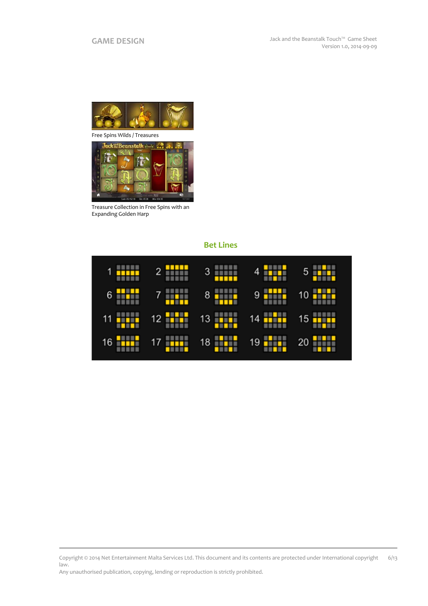

Free Spins Wilds / Treasures



Treasure Collection in Free Spins with an Expanding Golden Harp



#### Copyright © 2014 Net Entertainment Malta Services Ltd. This document and its contents are protected under International copyright law. 6/13

Any unauthorised publication, copying, lending or reproduction is strictly prohibited.

# **Bet Lines**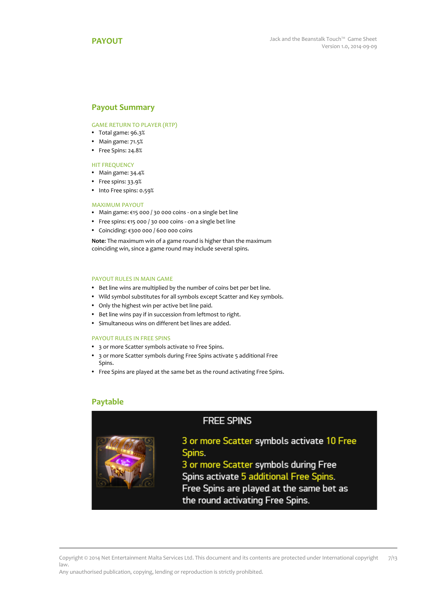#### <span id="page-6-0"></span>**Payout Summary**

#### GAME RETURN TO PLAYER (RTP)

- Total game: 96.3%
- Main game: 71.5%
- Free Spins: 24.8%

#### HIT FREQUENCY

- Main game: 34.4%
- Free spins: 33.9%
- Into Free spins: 0.59%

#### MAXIMUM PAYOUT

- Main game: €15 000 / 30 000 coins on a single bet line
- Free spins: €15 000 / 30 000 coins on a single bet line
- Coinciding: €300 000 / 600 000 coins

**Note**: The maximum win of a game round is higher than the maximum coinciding win, since a game round may include several spins.

#### PAYOUT RULES IN MAIN GAME

- Bet line wins are multiplied by the number of coins bet per bet line.
- Wild symbol substitutes for all symbols except Scatter and Key symbols.
- Only the highest win per active bet line paid.
- Bet line wins pay if in succession from leftmost to right.
- Simultaneous wins on different bet lines are added.

#### PAYOUT RULES IN FREE SPINS

- 3 or more Scatter symbols activate 10 Free Spins.
- 3 or more Scatter symbols during Free Spins activate 5 additional Free Spins.
- Free Spins are played at the same bet as the round activating Free Spins.

#### **Paytable**

# **FREE SPINS**

# 3 or more Scatter symbols activate 10 Free Spins.

3 or more Scatter symbols during Free Spins activate 5 additional Free Spins. Free Spins are played at the same bet as the round activating Free Spins.

Copyright © 2014 Net Entertainment Malta Services Ltd. This document and its contents are protected under International copyright law. 7/13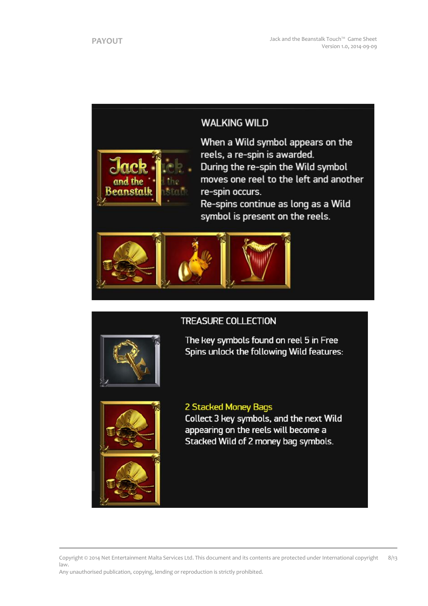# **WALKING WILD**



When a Wild symbol appears on the reels, a re-spin is awarded. During the re-spin the Wild symbol moves one reel to the left and another re-spin occurs.

Re-spins continue as long as a Wild symbol is present on the reels.



# **TREASURE COLLECTION**



The key symbols found on reel 5 in Free Spins unlock the following Wild features:



# 2 Stacked Money Bags

Collect 3 key symbols, and the next Wild appearing on the reels will become a Stacked Wild of 2 money bag symbols.

Copyright © 2014 Net Entertainment Malta Services Ltd. This document and its contents are protected under International copyright law. 8/13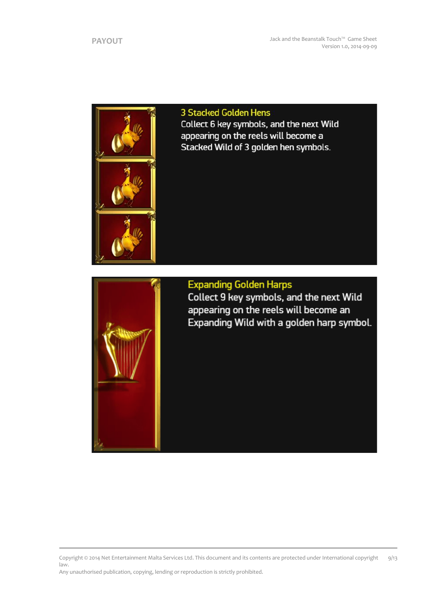

3 Stacked Golden Hens Collect 6 key symbols, and the next Wild appearing on the reels will become a Stacked Wild of 3 golden hen symbols.



# **Expanding Golden Harps**

Collect 9 key symbols, and the next Wild appearing on the reels will become an Expanding Wild with a golden harp symbol.

Copyright © 2014 Net Entertainment Malta Services Ltd. This document and its contents are protected under International copyright law. Any unauthorised publication, copying, lending or reproduction is strictly prohibited. 9/13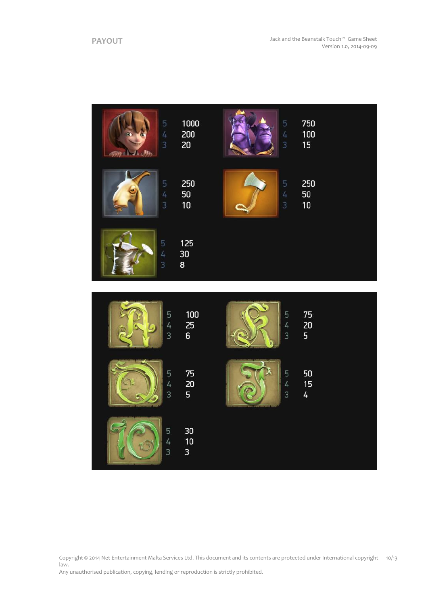

Copyright © 2014 Net Entertainment Malta Services Ltd. This document and its contents are protected under International copyright 10/13law.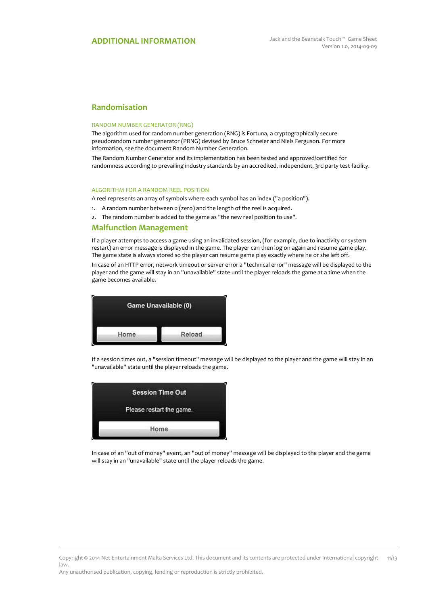### **Randomisation**

#### RANDOM NUMBER GENERATOR (RNG)

The algorithm used for random number generation (RNG) is Fortuna, a cryptographically secure pseudorandom number generator (PRNG) devised by Bruce Schneier and Niels Ferguson. For more information, see the document Random Number Generation.

The Random Number Generator and its implementation has been tested and approved/certified for randomness according to prevailing industry standards by an accredited, independent, 3rd party test facility.

#### ALGORITHM FOR A RANDOM REEL POSITION

A reel represents an array of symbols where each symbol has an index ("a position").

- 1. A random number between 0 (zero) and the length of the reel is acquired.
- 2. The random number is added to the game as "the new reel position to use".

#### **Malfunction Management**

If a player attempts to access a game using an invalidated session, (for example, due to inactivity or system restart) an error message is displayed in the game. The player can then log on again and resume game play. The game state is always stored so the player can resume game play exactly where he or she left off.

In case of an HTTP error, network timeout or server error a "technical error" message will be displayed to the player and the game will stay in an "unavailable" state until the player reloads the game at a time when the game becomes available.



If a session times out, a "session timeout" message will be displayed to the player and the game will stay in an "unavailable" state until the player reloads the game.



In case of an "out of money" event, an "out of money" message will be displayed to the player and the game will stay in an "unavailable" state until the player reloads the game.

Copyright © 2014 Net Entertainment Malta Services Ltd. This document and its contents are protected under International copyright law.  $11/13$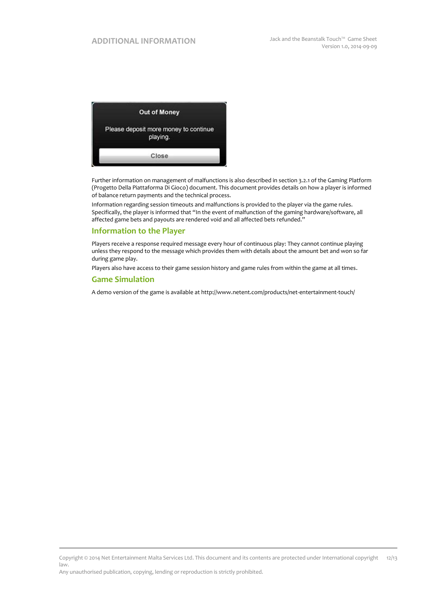

Further information on management of malfunctions is also described in section 3.2.1 of the Gaming Platform (Progetto Della Piattaforma Di Gioco) document. This document provides details on how a player is informed of balance return payments and the technical process.

Information regarding session timeouts and malfunctions is provided to the player via the game rules. Specifically, the player is informed that "In the event of malfunction of the gaming hardware/software, all affected game bets and payouts are rendered void and all affected bets refunded."

#### **Information to the Player**

Players receive a response required message every hour of continuous play: They cannot continue playing unless they respond to the message which provides them with details about the amount bet and won so far during game play.

Players also have access to their game session history and game rules from within the game at all times.

### **Game Simulation**

A demo version of the game is available at http://www.netent.com/products/net-entertainment-touch/

Copyright © 2014 Net Entertainment Malta Services Ltd. This document and its contents are protected under International copyright law. 12/13